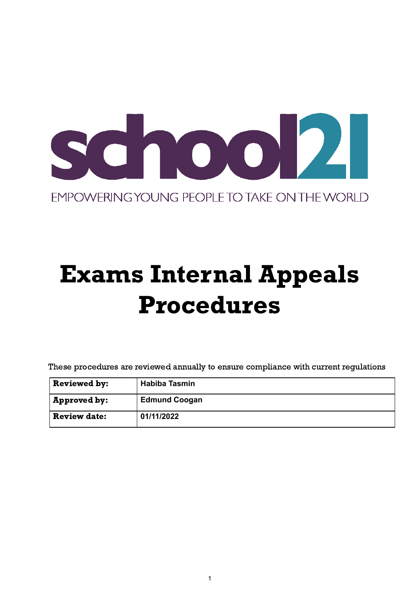

# Exams Internal Appeals Procedures

These procedures are reviewed annually to ensure compliance with current regulations

| <b>Reviewed by:</b> | <b>Habiba Tasmin</b> |
|---------------------|----------------------|
| ' Approved by:      | <b>Edmund Coogan</b> |
| <b>Review date:</b> | 01/11/2022           |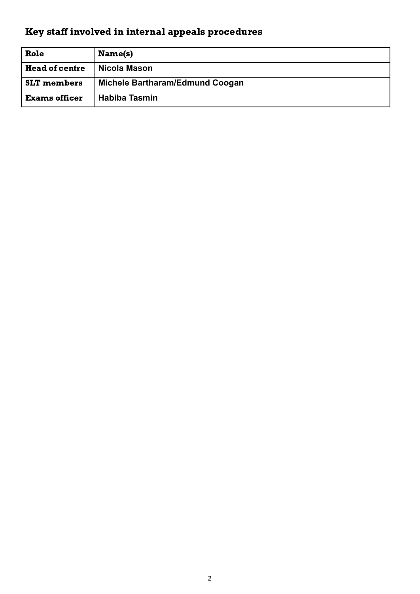# Key staff involved in internal appeals procedures

| Role                  | Name(s)                         |
|-----------------------|---------------------------------|
| <b>Head of centre</b> | Nicola Mason                    |
| <b>SLT</b> members    | Michele Bartharam/Edmund Coogan |
| <b>Exams officer</b>  | <b>Habiba Tasmin</b>            |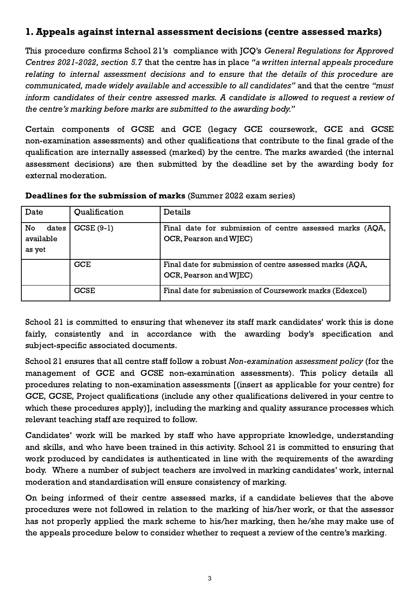## 1.Appeals against internal assessment decisions (centre assessed marks)

This procedure confirms School 21's compliance with JCQ's General Regulations for Approved Centres 2021-2022, section 5.7 that the centre has in place "a written internal appeals procedure relating to internal assessment decisions and to ensure that the details of this procedure are communicated, made widely available and accessible to all candidates" and that the centre "must inform candidates of their centre assessed marks. A candidate is allowed to request a review of the centre's marking before marks are submitted to the awarding body."

Certain components of GCSE and GCE (legacy GCE coursework, GCE and GCSE non-examination assessments) and other qualifications that contribute to the final grade of the qualification are internally assessed (marked) by the centre. The marks awarded (the internal assessment decisions) are then submitted by the deadline set by the awarding body for external moderation.

| Date                               | Qualification | Details                                                                            |
|------------------------------------|---------------|------------------------------------------------------------------------------------|
| No<br>dates<br>available<br>as yet | $CCSE(9-1)$   | Final date for submission of centre assessed marks (AQA,<br>OCR, Pearson and WJEC) |
|                                    | <b>GCE</b>    | Final date for submission of centre assessed marks (AQA,<br>OCR, Pearson and WJEC) |
|                                    | <b>GCSE</b>   | Final date for submission of Coursework marks (Edexcel)                            |

#### Deadlines for the submission of marks (Summer 2022 exam series)

School 21 is committed to ensuring that whenever its staff mark candidates' work this is done fairly, consistently and in accordance with the awarding body's specification and subject-specific associated documents.

School 21 ensures that all centre staff follow a robust Non-examination assessment policy (for the management of GCE and GCSE non-examination assessments). This policy details all procedures relating to non-examination assessments [(insert as applicable for your centre) for GCE, GCSE, Project qualifications (include any other qualifications delivered in your centre to which these procedures apply)], including the marking and quality assurance processes which relevant teaching staff are required to follow.

Candidates' work will be marked by staff who have appropriate knowledge, understanding and skills, and who have been trained in this activity. School 21 is committed to ensuring that work produced by candidates is authenticated in line with the requirements of the awarding body. Where a number of subject teachers are involved in marking candidates' work, internal moderation and standardisation will ensure consistency of marking.

On being informed of their centre assessed marks, if a candidate believes that the above procedures were not followed in relation to the marking of his/her work, or that the assessor has not properly applied the mark scheme to his/her marking, then he/she may make use of the appeals procedure below to consider whether to request a review of the centre's marking.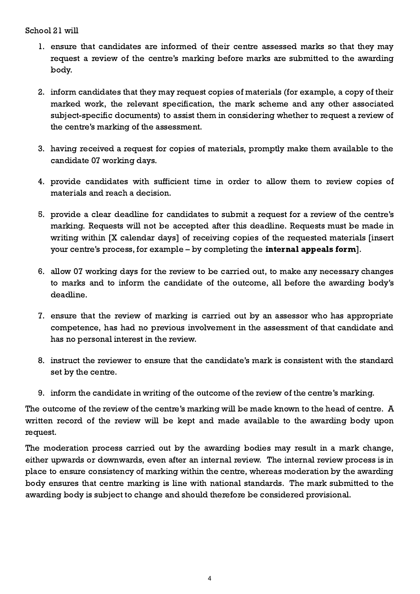#### School 21 will

- 1. ensure that candidates are informed of their centre assessed marks so that they may request a review of the centre's marking before marks are submitted to the awarding body.
- 2. inform candidates that they may request copies of materials (for example, a copy of their marked work, the relevant specification, the mark scheme and any other associated subject-specific documents) to assist them in considering whether to request a review of the centre's marking of the assessment.
- 3. having received a request for copies of materials, promptly make them available to the candidate 07 working days.
- 4. provide candidates with sufficient time in order to allow them to review copies of materials and reach a decision.
- 5. provide a clear deadline for candidates to submit a request for a review of the centre's marking. Requests will not be accepted after this deadline. Requests must be made in writing within [X calendar days] of receiving copies of the requested materials [insert your centre's process, for example – by completing the internal appeals form].
- 6. allow 07 working days for the review to be carried out, to make any necessary changes to marks and to inform the candidate of the outcome, all before the awarding body's deadline.
- 7. ensure that the review of marking is carried out by an assessor who has appropriate competence, has had no previous involvement in the assessment of that candidate and has no personal interest in the review.
- 8. instruct the reviewer to ensure that the candidate's mark is consistent with the standard set by the centre.
- 9. inform the candidate in writing of the outcome of the review of the centre's marking.

The outcome of the review of the centre's marking will be made known to the head of centre. A written record of the review will be kept and made available to the awarding body upon request.

The moderation process carried out by the awarding bodies may result in a mark change, either upwards or downwards, even after an internal review. The internal review process is in place to ensure consistency of marking within the centre, whereas moderation by the awarding body ensures that centre marking is line with national standards. The mark submitted to the awarding body is subject to change and should therefore be considered provisional.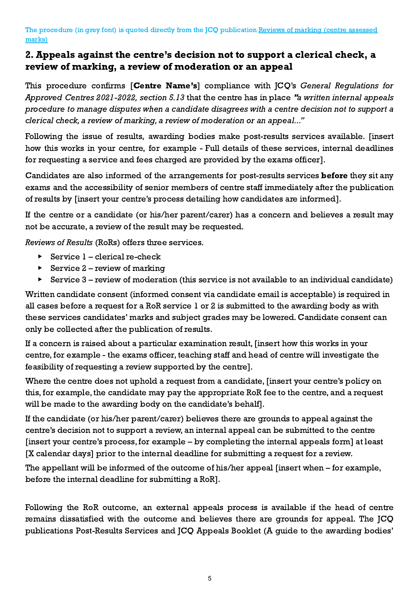#### The procedure (in grey font) is quoted directly from the JCQ publication Reviews of marking (centre [assessed](https://www.jcq.org.uk/exams-office/non-examination-assessments) [marks\)](https://www.jcq.org.uk/exams-office/non-examination-assessments)

### 2.Appeals against the centre's decision not to support a clerical check, a review of marking, a review of moderation or an appeal

This procedure confirms [Centre Name's] compliance with JCQ's General Regulations for Approved Centres 2021-2022, section 5.13 that the centre has in place "a written internal appeals procedure to manage disputes when a candidate disagrees with a centre decision not to support a clerical check, a review of marking, a review of moderation or an appeal..."

Following the issue of results, awarding bodies make post-results services available. [insert how this works in your centre, for example - Full details of these services, internal deadlines for requesting a service and fees charged are provided by the exams officer].

Candidates are also informed of the arrangements for post-results services **before** they sit any exams and the accessibility of senior members of centre staff immediately after the publication of results by [insert your centre's process detailing how candidates are informed].

If the centre or a candidate (or his/her parent/carer) has a concern and believes a result may not be accurate, a review of the result may be requested.

Reviews of Results (RoRs) offers three services.

- $\triangleright$  Service 1 clerical re-check
- $\triangleright$  Service 2 review of marking
- $\triangleright$  Service 3 review of moderation (this service is not available to an individual candidate)

Written candidate consent (informed consent via candidate email is acceptable) is required in all cases before a request for a RoR service 1 or 2 is submitted to the awarding body as with these services candidates' marks and subject grades may be lowered. Candidate consent can only be collected after the publication of results.

If a concern is raised about a particular examination result, [insert how this works in your centre, for example - the exams officer, teaching staff and head of centre will investigate the feasibility of requesting a review supported by the centre].

Where the centre does not uphold a request from a candidate, [insert your centre's policy on this, for example, the candidate may pay the appropriate RoR fee to the centre, and a request will be made to the awarding body on the candidate's behalf].

If the candidate (or his/her parent/carer) believes there are grounds to appeal against the centre's decision not to support a review, an internal appeal can be submitted to the centre [insert your centre's process, for example – by completing the internal appeals form] at least [X calendar days] prior to the internal deadline for submitting a request for a review.

The appellant will be informed of the outcome of his/her appeal [insert when – for example, before the internal deadline for submitting a RoR].

Following the RoR outcome, an external appeals process is available if the head of centre remains dissatisfied with the outcome and believes there are grounds for appeal. The JCQ publications Post-Results Services and JCQ Appeals Booklet (A guide to the awarding bodies'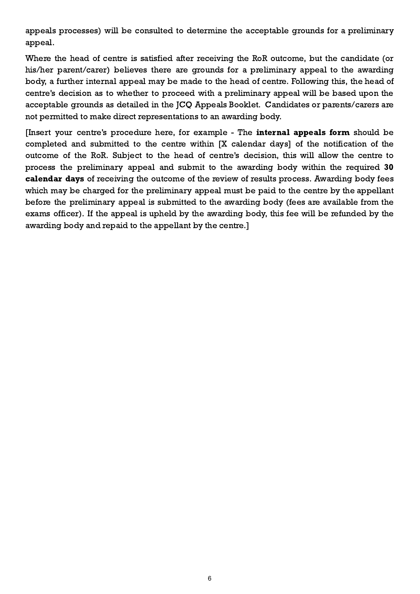appeals processes) will be consulted to determine the acceptable grounds for a preliminary appeal.

Where the head of centre is satisfied after receiving the RoR outcome, but the candidate (or his/her parent/carer) believes there are grounds for a preliminary appeal to the awarding body, a further internal appeal may be made to the head of centre. Following this, the head of centre's decision as to whether to proceed with a preliminary appeal will be based upon the acceptable grounds as detailed in the JCQ Appeals Booklet. Candidates or parents/carers are not permitted to make direct representations to an awarding body.

[Insert your centre's procedure here, for example - The internal appeals form should be completed and submitted to the centre within [X calendar days] of the notification of the outcome of the RoR. Subject to the head of centre's decision, this will allow the centre to process the preliminary appeal and submit to the awarding body within the required 30 calendar days of receiving the outcome of the review of results process. Awarding body fees which may be charged for the preliminary appeal must be paid to the centre by the appellant before the preliminary appeal is submitted to the awarding body (fees are available from the exams officer). If the appeal is upheld by the awarding body, this fee will be refunded by the awarding body and repaid to the appellant by the centre.]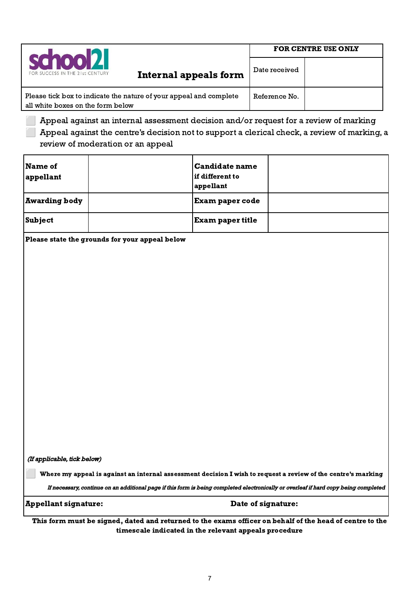|                                                                                                         | <b>FOR CENTRE USE ONLY</b> |  |  |
|---------------------------------------------------------------------------------------------------------|----------------------------|--|--|
| school2<br>FOR SUCCESS IN THE 21st CENTURY<br><b>Internal appeals form</b>                              | Date received              |  |  |
| Please tick box to indicate the nature of your appeal and complete<br>all white boxes on the form below | Reference No.              |  |  |

⬜ Appeal against an internal assessment decision and/or request for a review of marking ⬜ Appeal against the centre's decision not to support a clerical check, a review of marking, a review of moderation or an appeal

| Name of<br>appellant | <b>Candidate name</b><br>  if different to<br>appellant |  |
|----------------------|---------------------------------------------------------|--|
| <b>Awarding body</b> | <b>Exam paper code</b>                                  |  |
| Subject              | <b>Exam paper title</b>                                 |  |

Please state the grounds for your appeal below

(If applicable, tick below)

⬜ Where my appeal is against an internal assessment decision I wish to request a review of the centre's marking

If necessary, continue on an additional page if this form is being completed electronically or overleaf if hard copy being completed

Appellant signature: Date of signature:

This form must be signed, dated and returned to the exams officer on behalf of the head of centre to the timescale indicated in the relevant appeals procedure